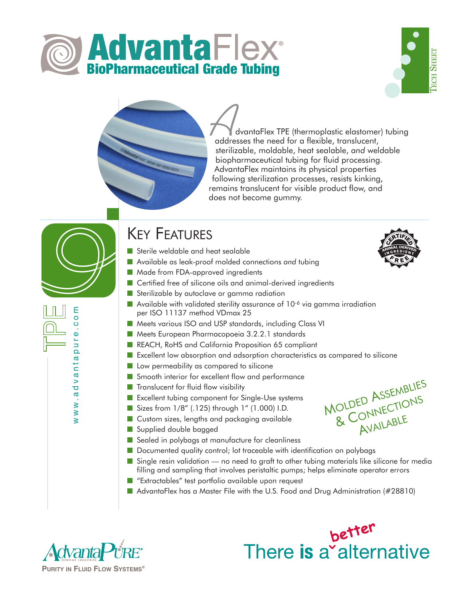





dvantaFlex TPE (thermoplastic elastomer) tubing addresses the need for a flexible, translucent, sterilizable, moldable, heat sealable, *and* weldable biopharmaceutical tubing for fluid processing. AdvantaFlex maintains its physical properties following sterilization processes, resists kinking, remains translucent for visible product flow, and does not become gummy. addres<br>steriliz

# KEY FEATURES

- Sterile weldable and heat sealable
- Available as leak-proof molded connections and tubing
- Made from FDA-approved ingredients
- Certified free of silicone oils and animal-derived ingredients
- Sterilizable by autoclave or gamma radiation
- $\blacksquare$  Available with validated sterility assurance of 10<sup>-6</sup> via gamma irradiation per ISO 11137 method VDmax 25
- Meets various ISO and USP standards, including Class VI
- Meets European Pharmacopoeia 3.2.2.1 standards
- REACH, RoHS and California Proposition 65 compliant
- Excellent low absorption and adsorption characteristics as compared to silicone
- Low permeability as compared to silicone
- Smooth interior for excellent flow and performance
- Translucent for fluid flow visibility
- Excellent tubing component for Single-Use systems
- Sizes from 1/8" (.125) through 1" (1.000) I.D.
- Custom sizes, lengths and packaging available
- Supplied double bagged
- Sealed in polybags at manufacture for cleanliness
- Documented quality control; lot traceable with identification on polybags
- Single resin validation no need to graft to other tubing materials like silicone for media filling and sampling that involves peristaltic pumps; helps eliminate operator errors
- "Extractables" test portfolio available upon request
- AdvantaFlex has a Master File with the U.S. Food and Drug Administration (#28810)



www.advantapure.com

ww.advanta

E  $\overline{O}$  $\circ$  $\Phi$ ٦<br>נ  $\bar{\mathbf{Q}}$ 

better There is a alternative



<sup>M</sup>OLDED <sup>A</sup>SSEMBLIES

OLDED ASSESSED NS AVAILABLE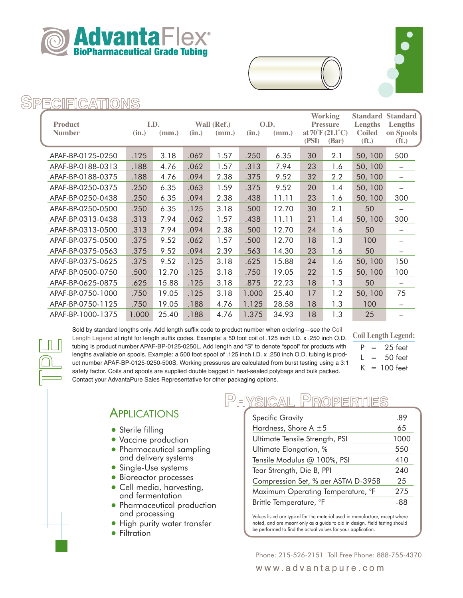





#### PECIFICATIO

| <b>Product</b><br><b>Number</b> | (in.) | I.D.<br>(mm.) | (in.) | Wall (Ref.)<br>(mm.) | (in.) | O.D.<br>(mm.) | <b>Working</b><br><b>Pressure</b><br>at $70^{\circ}$ F $(21.1^{\circ}C)$<br>(PSI)<br>(Bar) |     | <b>Standard</b><br>Lengths<br><b>Coiled</b><br>(f <sub>t</sub> ) | <b>Standard</b><br>Lengths<br>on Spools<br>(f <sub>t</sub> ) |
|---------------------------------|-------|---------------|-------|----------------------|-------|---------------|--------------------------------------------------------------------------------------------|-----|------------------------------------------------------------------|--------------------------------------------------------------|
| APAF-BP-0125-0250               | .125  | 3.18          | .062  | 1.57                 | .250  | 6.35          | 30                                                                                         | 2.1 | 50, 100                                                          | 500                                                          |
| APAF-BP-0188-0313               | .188  | 4.76          | .062  | 1.57                 | .313  | 7.94          | 23                                                                                         | 1.6 | 50, 100                                                          |                                                              |
| APAF-BP-0188-0375               | .188  | 4.76          | .094  | 2.38                 | .375  | 9.52          | 32                                                                                         | 2.2 | 50, 100                                                          |                                                              |
| APAF-BP-0250-0375               | .250  | 6.35          | .063  | 1.59                 | .375  | 9.52          | 20                                                                                         | 1.4 | 50, 100                                                          |                                                              |
| APAF-BP-0250-0438               | .250  | 6.35          | .094  | 2.38                 | .438  | 11.11         | 23                                                                                         | 1.6 | 50, 100                                                          | 300                                                          |
| APAF-BP-0250-0500               | .250  | 6.35          | .125  | 3.18                 | .500  | 12.70         | 30                                                                                         | 2.1 | 50                                                               |                                                              |
| APAF-BP-0313-0438               | .313  | 7.94          | .062  | 1.57                 | .438  | 11.11         | 21                                                                                         | 1.4 | 50, 100                                                          | 300                                                          |
| APAF-BP-0313-0500               | .313  | 7.94          | .094  | 2.38                 | .500  | 12.70         | 24                                                                                         | 1.6 | 50                                                               | -                                                            |
| APAF-BP-0375-0500               | .375  | 9.52          | .062  | 1.57                 | .500  | 12.70         | 18                                                                                         | 1.3 | 100                                                              | $\overline{\phantom{0}}$                                     |
| APAF-BP-0375-0563               | .375  | 9.52          | .094  | 2.39                 | .563  | 14.30         | 23                                                                                         | 1.6 | 50                                                               | -                                                            |
| APAF-BP-0375-0625               | .375  | 9.52          | .125  | 3.18                 | .625  | 15.88         | 24                                                                                         | 1.6 | 50, 100                                                          | 150                                                          |
| APAF-BP-0500-0750               | .500  | 12.70         | .125  | 3.18                 | .750  | 19.05         | 22                                                                                         | 1.5 | 50, 100                                                          | 100                                                          |
| APAF-BP-0625-0875               | .625  | 15.88         | .125  | 3.18                 | .875  | 22.23         | 18                                                                                         | 1.3 | 50                                                               | -                                                            |
| APAF-BP-0750-1000               | .750  | 19.05         | .125  | 3.18                 | 1.000 | 25.40         | 17                                                                                         | 1.2 | 50, 100                                                          | 75                                                           |
| APAF-BP-0750-1125               | .750  | 19.05         | .188  | 4.76                 | 1.125 | 28.58         | 18                                                                                         | 1.3 | 100                                                              | $\overline{\phantom{0}}$                                     |
| APAF-BP-1000-1375               | 1.000 | 25.40         | .188  | 4.76                 | 1.375 | 34.93         | 18                                                                                         | 1.3 | 25                                                               |                                                              |

Sold by standard lengths only. Add length suffix code to product number when ordering—see the Coil Length Legend at right for length suffix codes. Example: a 50 foot coil of .125 inch I.D. x .250 inch O.D. tubing is product number APAF-BP-0125-0250L. Add length and "S" to denote "spool" for products with lengths available on spools. Example: a 500 foot spool of .125 inch I.D. x .250 inch O.D. tubing is prodlengths available on spools. Example: a 500 foot spool of .125 inch I.D. x .250 inch O.D. tubing is prod-<br>
uct number APAF-BP-0125-0250-500S. Working pressures are calculated from burst testing using a 3:1 safety factor. Coils and spools are supplied double bagged in heat-sealed polybags and bulk packed. Contact your AdvantaPure Sales Representative for other packaging options.

**Coil Length Legend:**

 $= 25$  feet  $L = 50$  feet

 $K = 100$  feet

# **APPLICATIONS**

- Sterile filling
- Vaccine production
- Pharmaceutical sampling and delivery systems
- Single-Use systems
- •Bioreactor processes
- Cell media, harvesting, and fermentation
- Pharmaceutical production and processing
- High purity water transfer
- Filtration

#### YSICAL DEO

| <b>Specific Gravity</b>            | .89  |  |
|------------------------------------|------|--|
| Hardness, Shore A $\pm 5$          | 65   |  |
| Ultimate Tensile Strength, PSI     | 1000 |  |
| Ultimate Elongation, %             | 550  |  |
| Tensile Modulus @ 100%, PSI        | 410  |  |
| Tear Strength, Die B, PPI          | 240  |  |
| Compression Set, % per ASTM D-395B | 25   |  |
| Maximum Operating Temperature, °F  | 275  |  |
| Brittle Temperature, °F            | -88  |  |

Values listed are typical for the material used in manufacture, except where noted, and are meant only as a guide to aid in design. Field testing should be performed to find the actual values for your application.

Phone: 215-526-2151 Toll Free Phone: 888-755-4370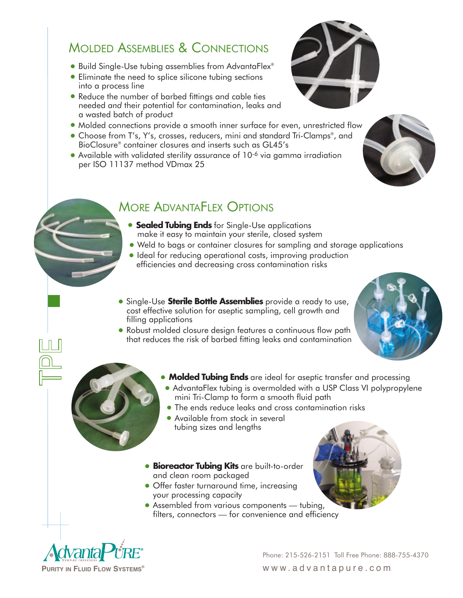# MOLDED ASSEMBLIES & CONNECTIONS

- Build Single-Use tubing assemblies from AdvantaFlex®
- Eliminate the need to splice silicone tubing sections into a process line
- •Reduce the number of barbed fittings and cable ties needed *and* their potential for contamination, leaks and a wasted batch of product
- Molded connections provide a smooth inner surface for even, unrestricted flow
- Choose from T's, Y's, crosses, reducers, mini and standard Tri-Clamps®, and BioClosure® container closures and inserts such as GL45's
- Available with validated sterility assurance of 10-6 via gamma irradiation per ISO 11137 method VDmax 25

# MORE ADVANTAFLEX OPTIONS

- **Sealed Tubing Ends** for Single-Use applications make it easy to maintain your sterile, closed system
- Weld to bags or container closures for sampling and storage applications
- Ideal for reducing operational costs, improving production efficiencies and decreasing cross contamination risks
- •Single-Use **Sterile Bottle Assemblies** provide a ready to use, cost effective solution for aseptic sampling, cell growth and filling applications
- Robust molded closure design features a continuous flow path that reduces the risk of barbed fitting leaks and contamination





- **Molded Tubing Ends** are ideal for aseptic transfer and processing
- AdvantaFlex tubing is overmolded with a USP Class VI polypropylene mini Tri-Clamp to form a smooth fluid path
- •The ends reduce leaks and cross contamination risks
- Available from stock in several tubing sizes and lengths
- **Bioreactor Tubing Kits** are built-to-order and clean room packaged
- Offer faster turnaround time, increasing your processing capacity
- Assembled from various components tubing, filters, connectors — for convenience and efficiency



Phone: 215-526-2151 Toll Free Phone: 888-755-4370 **PURITY IN FLUID FLOW SYSTEMS®** www.advantapure.com